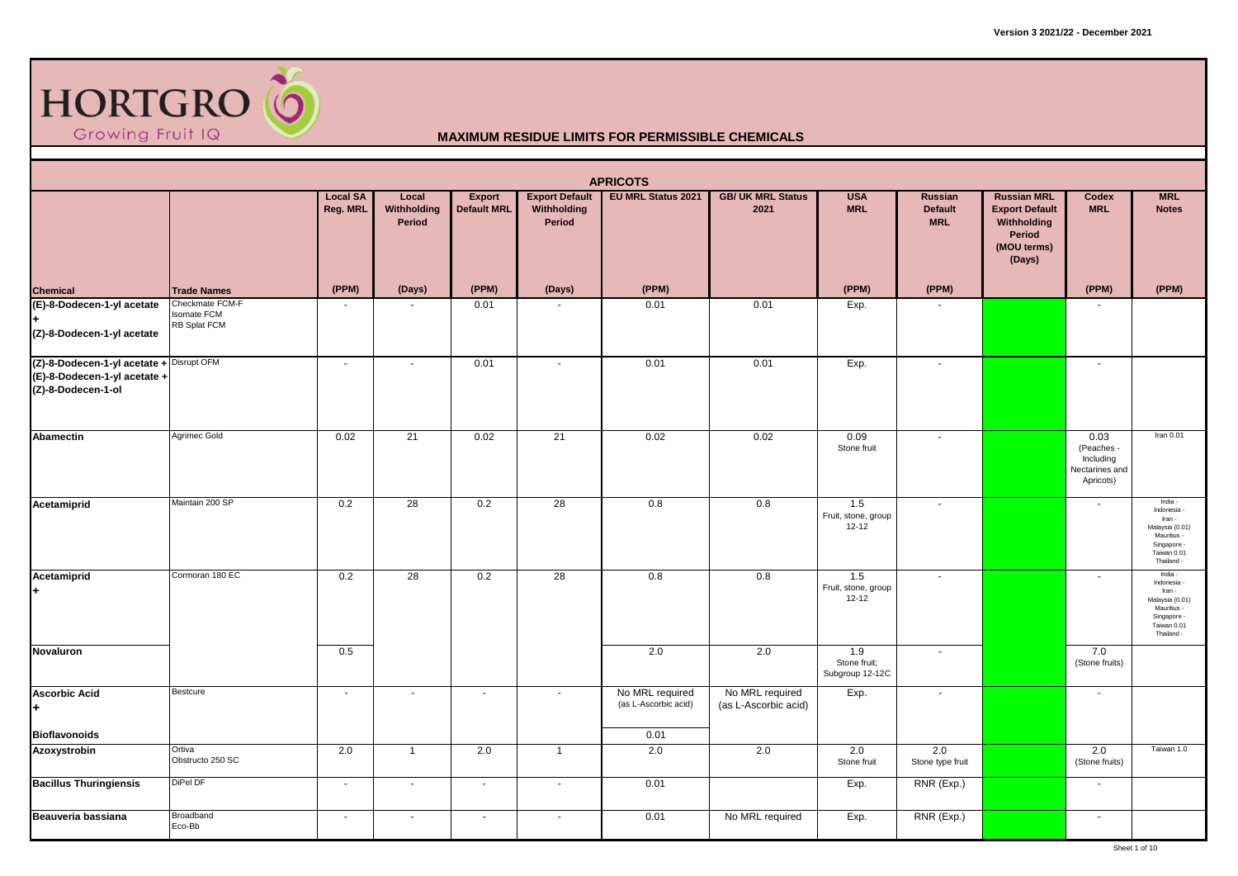

|                                                                                                | <b>APRICOTS</b><br>EU MRL Status 2021<br><b>Export Default</b><br><b>GB/ UK MRL Status</b><br><b>USA</b><br><b>Russian MRL</b><br><b>MRL</b><br><b>Local SA</b><br>Local<br><b>Export</b><br><b>Russian</b><br>Codex |                |                       |                    |                          |                                                 |                                         |                                         |                              |                                                                         |                                                                |                                                                                                                |  |  |
|------------------------------------------------------------------------------------------------|----------------------------------------------------------------------------------------------------------------------------------------------------------------------------------------------------------------------|----------------|-----------------------|--------------------|--------------------------|-------------------------------------------------|-----------------------------------------|-----------------------------------------|------------------------------|-------------------------------------------------------------------------|----------------------------------------------------------------|----------------------------------------------------------------------------------------------------------------|--|--|
|                                                                                                |                                                                                                                                                                                                                      | Reg. MRL       | Withholding<br>Period | <b>Default MRL</b> | Withholding<br>Period    |                                                 | 2021                                    | <b>MRL</b>                              | <b>Default</b><br><b>MRL</b> | <b>Export Default</b><br>Withholding<br>Period<br>(MOU terms)<br>(Days) | <b>MRL</b>                                                     | <b>Notes</b>                                                                                                   |  |  |
| <b>Chemical</b>                                                                                | <b>Trade Names</b>                                                                                                                                                                                                   | (PPM)          | (Days)                | (PPM)              | (Days)                   | (PPM)                                           |                                         | (PPM)                                   | (PPM)                        |                                                                         | (PPM)                                                          | (PPM)                                                                                                          |  |  |
| (E)-8-Dodecen-1-yl acetate<br>(Z)-8-Dodecen-1-yl acetate                                       | Checkmate FCM-F<br><b>Isomate FCM</b><br>RB Splat FCM                                                                                                                                                                | $\sim$         |                       | 0.01               |                          | 0.01                                            | 0.01                                    | Exp.                                    |                              |                                                                         |                                                                |                                                                                                                |  |  |
| (Z)-8-Dodecen-1-yl acetate + Disrupt OFM<br>(E)-8-Dodecen-1-yl acetate +<br>(Z)-8-Dodecen-1-ol |                                                                                                                                                                                                                      | $\sim$         | $\blacksquare$        | 0.01               | $\blacksquare$           | 0.01                                            | 0.01                                    | Exp.                                    | $\blacksquare$               |                                                                         |                                                                |                                                                                                                |  |  |
| <b>Abamectin</b>                                                                               | Agrimec Gold                                                                                                                                                                                                         | 0.02           | $\overline{21}$       | 0.02               | 21                       | 0.02                                            | 0.02                                    | 0.09<br>Stone fruit                     | $\sim$                       |                                                                         | 0.03<br>(Peaches -<br>Including<br>Nectarines and<br>Apricots) | Iran 0.01                                                                                                      |  |  |
| Acetamiprid                                                                                    | Maintain 200 SP                                                                                                                                                                                                      | 0.2            | 28                    | 0.2                | 28                       | 0.8                                             | 0.8                                     | 1.5<br>Fruit, stone, group<br>12-12     | $\blacksquare$               |                                                                         | $\sim$                                                         | India -<br>Indonesia -<br>Iran -<br>Malaysia (0.01)<br>Mauritius -<br>Singapore -<br>Taiwan 0.01<br>Thailand - |  |  |
| Acetamiprid<br>H.                                                                              | Cormoran 180 EC                                                                                                                                                                                                      | 0.2            | 28                    | 0.2                | 28                       | 0.8                                             | 0.8                                     | 1.5<br>Fruit, stone, group<br>$12 - 12$ | $\mathbf{r}$                 |                                                                         | $\sim$                                                         | India -<br>Indonesia -<br>Iran -<br>Malaysia (0.01)<br>Mauritius -<br>Singapore -<br>Taiwan 0.01<br>Thailand - |  |  |
| <b>Novaluron</b>                                                                               |                                                                                                                                                                                                                      | 0.5            |                       |                    |                          | 2.0                                             | 2.0                                     | 1.9<br>Stone fruit;<br>Subgroup 12-12C  | $\sim$                       |                                                                         | 7.0<br>(Stone fruits)                                          |                                                                                                                |  |  |
| <b>Ascorbic Acid</b><br>l+<br><b>Bioflavonoids</b>                                             | Bestcure                                                                                                                                                                                                             | $\sim$         | $\blacksquare$        | $\blacksquare$     | $\overline{\phantom{a}}$ | No MRL required<br>(as L-Ascorbic acid)<br>0.01 | No MRL required<br>(as L-Ascorbic acid) | Exp.                                    | $\blacksquare$               |                                                                         |                                                                |                                                                                                                |  |  |
| Azoxystrobin                                                                                   | Ortiva<br>Obstructo 250 SC                                                                                                                                                                                           | 2.0            | $\mathbf{1}$          | 2.0                | $\overline{1}$           | 2.0                                             | 2.0                                     | 2.0<br>Stone fruit                      | 2.0<br>Stone type fruit      |                                                                         | 2.0<br>(Stone fruits)                                          | Taiwan 1.0                                                                                                     |  |  |
| <b>Bacillus Thuringiensis</b>                                                                  | DiPel DF                                                                                                                                                                                                             | $\blacksquare$ | $\blacksquare$        | $\sim$             | $\sim$                   | 0.01                                            |                                         | Exp.                                    | RNR (Exp.)                   |                                                                         | $\overline{\phantom{a}}$                                       |                                                                                                                |  |  |
| Beauveria bassiana                                                                             | Broadband<br>Eco-Bb                                                                                                                                                                                                  | $\sim$         | $\sim$                | $\blacksquare$     | $\sim$                   | 0.01                                            | No MRL required                         | Exp.                                    | RNR (Exp.)                   |                                                                         | $\sim$                                                         |                                                                                                                |  |  |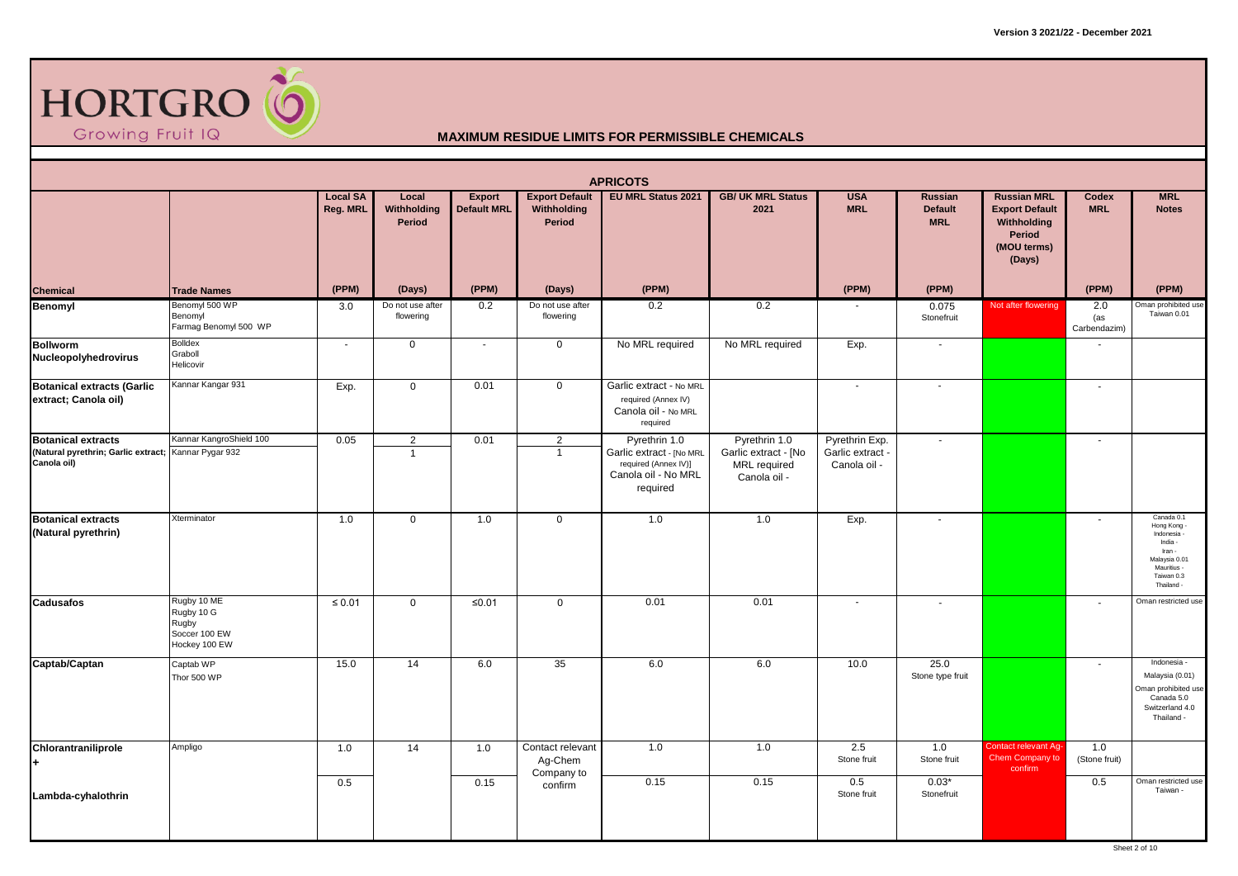

|                                                                                                  |                                                                      |                             |                                |                       |                                                | <b>APRICOTS</b>                                                                                      |                                                                              |                                                    |                                         |                                                                                               |                            |                                                                                                                         |
|--------------------------------------------------------------------------------------------------|----------------------------------------------------------------------|-----------------------------|--------------------------------|-----------------------|------------------------------------------------|------------------------------------------------------------------------------------------------------|------------------------------------------------------------------------------|----------------------------------------------------|-----------------------------------------|-----------------------------------------------------------------------------------------------|----------------------------|-------------------------------------------------------------------------------------------------------------------------|
|                                                                                                  |                                                                      | <b>Local SA</b><br>Reg. MRL | Local<br>Withholding<br>Period | Export<br>Default MRL | <b>Export Default</b><br>Withholding<br>Period | <b>EU MRL Status 2021</b>                                                                            | <b>GB/ UK MRL Status</b><br>2021                                             | <b>USA</b><br><b>MRL</b>                           | Russian<br><b>Default</b><br><b>MRL</b> | <b>Russian MRL</b><br><b>Export Default</b><br>Withholding<br>Period<br>(MOU terms)<br>(Days) | Codex<br><b>MRL</b>        | <b>MRL</b><br><b>Notes</b>                                                                                              |
| <b>Chemical</b>                                                                                  | <b>Trade Names</b>                                                   | (PPM)                       | (Days)                         | (PPM)                 | (Days)                                         | (PPM)                                                                                                |                                                                              | (PPM)                                              | (PPM)                                   |                                                                                               | (PPM)                      | (PPM)                                                                                                                   |
| Benomyl                                                                                          | Benomyl 500 WP<br>Benomyl<br>Farmag Benomyl 500 WP                   | 3.0                         | Do not use after<br>flowering  | 0.2                   | Do not use after<br>flowering                  | 0.2                                                                                                  | 0.2                                                                          |                                                    | 0.075<br>Stonefruit                     | Not after flowering                                                                           | 2.0<br>(as<br>Carbendazim) | Oman prohibited use<br>Taiwan 0.01                                                                                      |
| <b>Bollworm</b><br>Nucleopolyhedrovirus                                                          | <b>Bolldex</b><br>Graboll<br>Helicovir                               | $\sim$                      | $\mathbf 0$                    | $\blacksquare$        | $\mathbf 0$                                    | No MRL required                                                                                      | No MRL required                                                              | Exp.                                               |                                         |                                                                                               |                            |                                                                                                                         |
| <b>Botanical extracts (Garlic</b><br>extract; Canola oil)                                        | Kannar Kangar 931                                                    | Exp.                        | $\mathbf 0$                    | 0.01                  | $\mathbf 0$                                    | Garlic extract - No MRL<br>required (Annex IV)<br>Canola oil - No MRL<br>required                    |                                                                              | $\sim$                                             |                                         |                                                                                               |                            |                                                                                                                         |
| <b>Botanical extracts</b><br>(Natural pyrethrin; Garlic extract; Kannar Pygar 932<br>Canola oil) | Kannar KangroShield 100                                              | 0.05                        | $\sqrt{2}$<br>$\overline{1}$   | 0.01                  | $\overline{2}$<br>$\overline{1}$               | Pyrethrin 1.0<br>Garlic extract - [No MRL<br>required (Annex IV)]<br>Canola oil - No MRL<br>required | Pyrethrin 1.0<br>Garlic extract - [No<br><b>MRL</b> required<br>Canola oil - | Pyrethrin Exp.<br>Garlic extract -<br>Canola oil - |                                         |                                                                                               |                            |                                                                                                                         |
| <b>Botanical extracts</b><br>(Natural pyrethrin)                                                 | Xterminator                                                          | 1.0                         | $\mathbf 0$                    | 1.0                   | $\mathbf 0$                                    | 1.0                                                                                                  | 1.0                                                                          | Exp.                                               | $\overline{\phantom{a}}$                |                                                                                               |                            | Canada 0.1<br>Hong Kong<br>Indonesia -<br>India -<br>Iran -<br>Malaysia 0.01<br>Mauritius -<br>Taiwan 0.3<br>Thailand - |
| <b>Cadusafos</b>                                                                                 | Rugby 10 ME<br>Rugby 10 G<br>Rugby<br>Soccer 100 EW<br>Hockey 100 EW | $\leq 0.01$                 | $\mathbf 0$                    | $≤0.01$               | $\overline{0}$                                 | 0.01                                                                                                 | 0.01                                                                         |                                                    |                                         |                                                                                               |                            | Oman restricted use                                                                                                     |
| Captab/Captan                                                                                    | Captab WP<br>Thor 500 WP                                             | 15.0                        | 14                             | 6.0                   | 35                                             | 6.0                                                                                                  | 6.0                                                                          | 10.0                                               | 25.0<br>Stone type fruit                |                                                                                               | ÷.                         | Indonesia -<br>Malaysia (0.01)<br>Oman prohibited use<br>Canada 5.0<br>Switzerland 4.0<br>Thailand -                    |
| Chlorantraniliprole<br>$+$                                                                       | Ampligo                                                              | 1.0                         | 14                             | 1.0                   | Contact relevant<br>Ag-Chem<br>Company to      | 1.0                                                                                                  | 1.0                                                                          | 2.5<br>Stone fruit                                 | 1.0<br>Stone fruit                      | Contact relevant Ag-<br>Chem Company to<br>confirm                                            | 1.0<br>(Stone fruit)       |                                                                                                                         |
| Lambda-cyhalothrin                                                                               |                                                                      | 0.5                         |                                | 0.15                  | confirm                                        | 0.15                                                                                                 | 0.15                                                                         | 0.5<br>Stone fruit                                 | $0.03*$<br>Stonefruit                   |                                                                                               | 0.5                        | Oman restricted use<br>Taiwan -                                                                                         |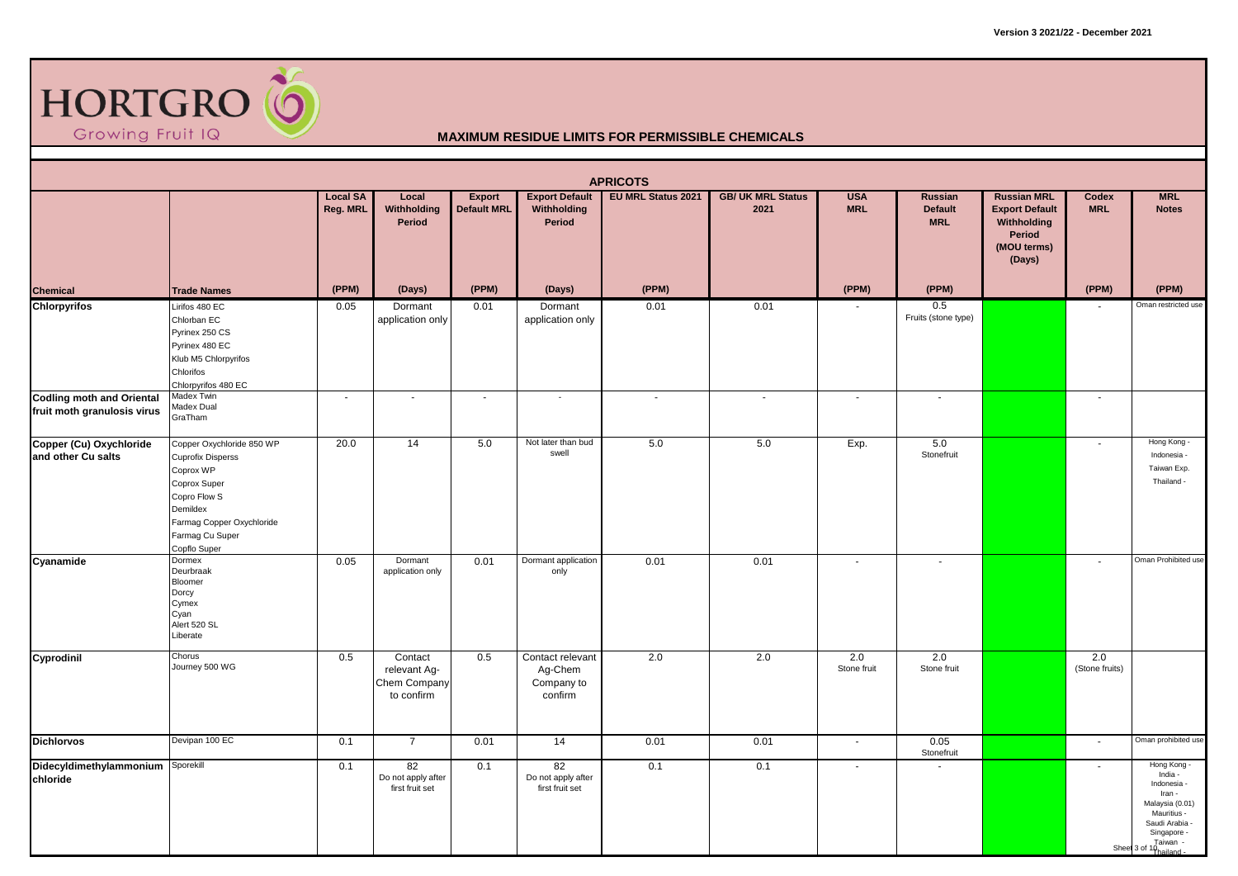

|                                                                 |                                                                                                                                                                                |                             |                                                       |                       |                                                      | <b>APRICOTS</b>           |                                  |                          |                                                |                                                                                               |                          |                                                                                                                                                         |
|-----------------------------------------------------------------|--------------------------------------------------------------------------------------------------------------------------------------------------------------------------------|-----------------------------|-------------------------------------------------------|-----------------------|------------------------------------------------------|---------------------------|----------------------------------|--------------------------|------------------------------------------------|-----------------------------------------------------------------------------------------------|--------------------------|---------------------------------------------------------------------------------------------------------------------------------------------------------|
|                                                                 |                                                                                                                                                                                | <b>Local SA</b><br>Reg. MRL | Local<br>Withholding<br>Period                        | Export<br>Default MRL | <b>Export Default</b><br>Withholding<br>Period       | <b>EU MRL Status 2021</b> | <b>GB/ UK MRL Status</b><br>2021 | <b>USA</b><br><b>MRL</b> | <b>Russian</b><br><b>Default</b><br><b>MRL</b> | <b>Russian MRL</b><br><b>Export Default</b><br>Withholding<br>Period<br>(MOU terms)<br>(Days) | Codex<br><b>MRL</b>      | <b>MRL</b><br><b>Notes</b>                                                                                                                              |
| <b>Chemical</b>                                                 | <b>Trade Names</b>                                                                                                                                                             | (PPM)                       | (Days)                                                | (PPM)                 | (Days)                                               | (PPM)                     |                                  | (PPM)                    | (PPM)                                          |                                                                                               | (PPM)                    | (PPM)                                                                                                                                                   |
| <b>Chlorpyrifos</b>                                             | Lirifos 480 EC<br>Chlorban EC<br>Pyrinex 250 CS<br>Pyrinex 480 EC<br>Klub M5 Chlorpyrifos<br>Chlorifos<br>Chlorpyrifos 480 EC                                                  | 0.05                        | Dormant<br>application only                           | 0.01                  | Dormant<br>application only                          | 0.01                      | 0.01                             |                          | 0.5<br>Fruits (stone type)                     |                                                                                               |                          | Oman restricted use                                                                                                                                     |
| <b>Codling moth and Oriental</b><br>fruit moth granulosis virus | Madex Twin<br>Madex Dual<br>GraTham                                                                                                                                            | $\sim$                      | $\sim$                                                | $\mathbf{r}$          | $\omega$                                             | $\sim$                    | $\blacksquare$                   | $\blacksquare$           | $\sim$                                         |                                                                                               | $\sim$                   |                                                                                                                                                         |
| Copper (Cu) Oxychloride<br>and other Cu salts                   | Copper Oxychloride 850 WP<br><b>Cuprofix Disperss</b><br>Coprox WP<br>Coprox Super<br>Copro Flow S<br>Demildex<br>Farmag Copper Oxychloride<br>Farmag Cu Super<br>Copflo Super | 20.0                        | 14                                                    | 5.0                   | Not later than bud<br>swell                          | 5.0                       | 5.0                              | Exp.                     | 5.0<br>Stonefruit                              |                                                                                               | $\overline{\phantom{a}}$ | Hong Kong -<br>Indonesia -<br>Taiwan Exp.<br>Thailand -                                                                                                 |
| Cyanamide                                                       | Dormex<br>Deurbraak<br>Bloomer<br>Dorcy<br>Cymex<br>Cyan<br>Alert 520 SL<br>Liberate                                                                                           | 0.05                        | Dormant<br>application only                           | 0.01                  | Dormant application<br>only                          | 0.01                      | 0.01                             | $\sim$                   | $\blacksquare$                                 |                                                                                               | $\overline{\phantom{a}}$ | Oman Prohibited use                                                                                                                                     |
| Cyprodinil                                                      | Chorus<br>Journey 500 WG                                                                                                                                                       | 0.5                         | Contact<br>relevant Ag-<br>Chem Company<br>to confirm | 0.5                   | Contact relevant<br>Ag-Chem<br>Company to<br>confirm | 2.0                       | 2.0                              | 2.0<br>Stone fruit       | 2.0<br>Stone fruit                             |                                                                                               | 2.0<br>(Stone fruits)    |                                                                                                                                                         |
| <b>Dichlorvos</b>                                               | Devipan 100 EC                                                                                                                                                                 | 0.1                         | $\overline{7}$                                        | 0.01                  | 14                                                   | 0.01                      | 0.01                             | $\sim$                   | 0.05<br>Stonefruit                             |                                                                                               | $\sim$                   | Oman prohibited use                                                                                                                                     |
| Didecyldimethylammonium Sporekill<br>chloride                   |                                                                                                                                                                                | 0.1                         | 82<br>Do not apply after<br>first fruit set           | 0.1                   | 82<br>Do not apply after<br>first fruit set          | 0.1                       | 0.1                              | $\sim$                   | $\sim$                                         |                                                                                               | $\sim$                   | Hong Kong<br>India -<br>Indonesia -<br>Iran -<br>Malaysia (0.01)<br>Mauritius -<br>Saudi Arabia -<br>Singapore -<br>Taiwan -<br>Sheet 3 of 19 nailand - |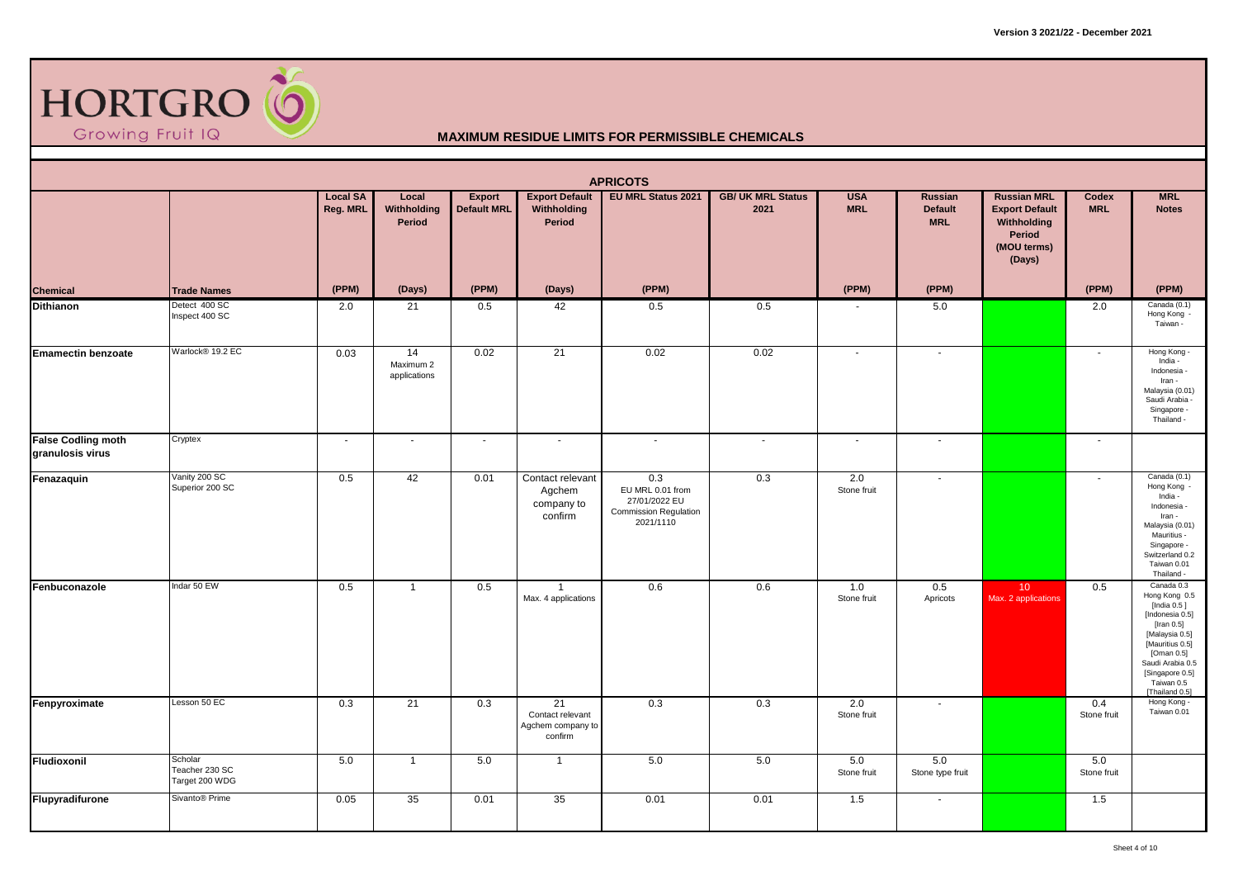

|                                               |                                             |                             |                                              |                                     |                                                        | <b>APRICOTS</b>                                                                       |                                  |                          |                                         |                                                                                               |                          |                                                                                                                                                                                                        |
|-----------------------------------------------|---------------------------------------------|-----------------------------|----------------------------------------------|-------------------------------------|--------------------------------------------------------|---------------------------------------------------------------------------------------|----------------------------------|--------------------------|-----------------------------------------|-----------------------------------------------------------------------------------------------|--------------------------|--------------------------------------------------------------------------------------------------------------------------------------------------------------------------------------------------------|
|                                               |                                             | <b>Local SA</b><br>Reg. MRL | Local<br>Withholding<br>Period               | <b>Export</b><br><b>Default MRL</b> | <b>Export Default</b><br>Withholding<br>Period         | <b>EU MRL Status 2021</b>                                                             | <b>GB/ UK MRL Status</b><br>2021 | <b>USA</b><br><b>MRL</b> | Russian<br><b>Default</b><br><b>MRL</b> | <b>Russian MRL</b><br><b>Export Default</b><br>Withholding<br>Period<br>(MOU terms)<br>(Days) | Codex<br><b>MRL</b>      | <b>MRL</b><br><b>Notes</b>                                                                                                                                                                             |
| <b>Chemical</b>                               | <b>Trade Names</b>                          | (PPM)                       | (Days)                                       | (PPM)                               | (Days)                                                 | (PPM)                                                                                 |                                  | (PPM)                    | (PPM)                                   |                                                                                               | (PPM)                    | (PPM)                                                                                                                                                                                                  |
| <b>Dithianon</b>                              | Detect 400 SC<br>Inspect 400 SC             | 2.0                         | 21                                           | 0.5                                 | 42                                                     | 0.5                                                                                   | 0.5                              |                          | 5.0                                     |                                                                                               | 2.0                      | Canada (0.1)<br>Hong Kong -<br>Taiwan -                                                                                                                                                                |
| <b>Emamectin benzoate</b>                     | Warlock® 19.2 EC                            | 0.03                        | $\overline{14}$<br>Maximum 2<br>applications | 0.02                                | 21                                                     | 0.02                                                                                  | 0.02                             | $\sim$                   | $\sim$                                  |                                                                                               | $\overline{\phantom{a}}$ | Hong Kong -<br>India -<br>Indonesia -<br>Iran -<br>Malaysia (0.01)<br>Saudi Arabia -<br>Singapore -<br>Thailand -                                                                                      |
| <b>False Codling moth</b><br>granulosis virus | Cryptex                                     | $\sim$                      | $\blacksquare$                               | $\sim$                              | $\sim$                                                 | $\sim$                                                                                | $\blacksquare$                   | $\sim$                   | $\blacksquare$                          |                                                                                               | $\blacksquare$           |                                                                                                                                                                                                        |
| Fenazaquin                                    | Vanity 200 SC<br>Superior 200 SC            | 0.5                         | 42                                           | 0.01                                | Contact relevant<br>Agchem<br>company to<br>confirm    | 0.3<br>EU MRL 0.01 from<br>27/01/2022 EU<br><b>Commission Regulation</b><br>2021/1110 | 0.3                              | 2.0<br>Stone fruit       | $\blacksquare$                          |                                                                                               | $\sim$                   | Canada (0.1)<br>Hong Kong<br>India -<br>Indonesia -<br>Iran -<br>Malaysia (0.01)<br>Mauritius -<br>Singapore -<br>Switzerland 0.2<br>Taiwan 0.01<br>Thailand -                                         |
| Fenbuconazole                                 | Indar 50 EW                                 | 0.5                         | $\overline{1}$                               | 0.5                                 | $\overline{1}$<br>Max. 4 applications                  | 0.6                                                                                   | 0.6                              | 1.0<br>Stone fruit       | 0.5<br>Apricots                         | 10 <sup>°</sup><br>Max. 2 applications                                                        | 0.5                      | Canada 0.3<br>Hong Kong 0.5<br>[India 0.5 ]<br>[Indonesia 0.5]<br>[Iran 0.5]<br>[Malaysia 0.5]<br>[Mauritius 0.5]<br>[Oman 0.5]<br>Saudi Arabia 0.5<br>[Singapore 0.5]<br>Taiwan 0.5<br>[Thailand 0.5] |
| Fenpyroximate                                 | Lesson 50 EC                                | 0.3                         | 21                                           | 0.3                                 | 21<br>Contact relevant<br>Agchem company to<br>confirm | 0.3                                                                                   | 0.3                              | 2.0<br>Stone fruit       | $\blacksquare$                          |                                                                                               | 0.4<br>Stone fruit       | Hong Kong -<br>Taiwan 0.01                                                                                                                                                                             |
| Fludioxonil                                   | Scholar<br>Teacher 230 SC<br>Target 200 WDG | 5.0                         | $\overline{1}$                               | 5.0                                 | $\overline{1}$                                         | 5.0                                                                                   | 5.0                              | 5.0<br>Stone fruit       | 5.0<br>Stone type fruit                 |                                                                                               | 5.0<br>Stone fruit       |                                                                                                                                                                                                        |
| Flupyradifurone                               | Sivanto® Prime                              | 0.05                        | 35                                           | 0.01                                | 35                                                     | 0.01                                                                                  | 0.01                             | 1.5                      | $\sim$                                  |                                                                                               | 1.5                      |                                                                                                                                                                                                        |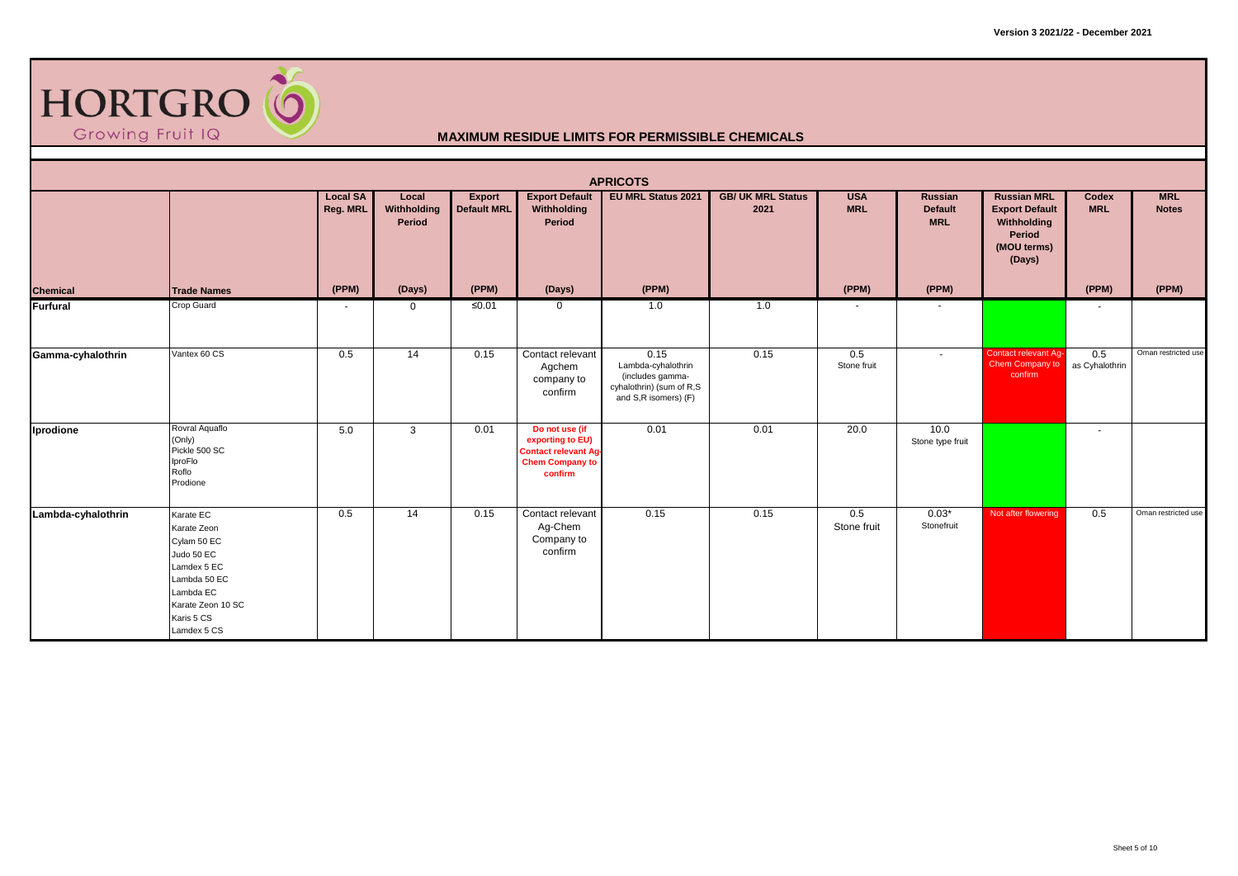

|                    |                                                                                                                                                     |                             |                                |                                     |                                                                                                        | <b>APRICOTS</b>                                                                                    |                                  |                          |                                                |                                                                                               |                       |                            |
|--------------------|-----------------------------------------------------------------------------------------------------------------------------------------------------|-----------------------------|--------------------------------|-------------------------------------|--------------------------------------------------------------------------------------------------------|----------------------------------------------------------------------------------------------------|----------------------------------|--------------------------|------------------------------------------------|-----------------------------------------------------------------------------------------------|-----------------------|----------------------------|
|                    |                                                                                                                                                     | <b>Local SA</b><br>Reg. MRL | Local<br>Withholding<br>Period | <b>Export</b><br><b>Default MRL</b> | <b>Export Default</b><br>Withholding<br>Period                                                         | <b>EU MRL Status 2021</b>                                                                          | <b>GB/ UK MRL Status</b><br>2021 | <b>USA</b><br><b>MRL</b> | <b>Russian</b><br><b>Default</b><br><b>MRL</b> | <b>Russian MRL</b><br><b>Export Default</b><br>Withholding<br>Period<br>(MOU terms)<br>(Days) | Codex<br><b>MRL</b>   | <b>MRL</b><br><b>Notes</b> |
| <b>Chemical</b>    | <b>Trade Names</b>                                                                                                                                  | (PPM)                       | (Days)                         | (PPM)                               | (Days)                                                                                                 | (PPM)                                                                                              |                                  | (PPM)                    | (PPM)                                          |                                                                                               | (PPM)                 | (PPM)                      |
| Furfural           | Crop Guard                                                                                                                                          | $\sim$                      | $\mathbf{0}$                   | $\leq 0.01$                         | $\mathbf 0$                                                                                            | 1.0                                                                                                | 1.0                              | $\overline{\phantom{a}}$ |                                                |                                                                                               | $\blacksquare$        |                            |
| Gamma-cyhalothrin  | Vantex 60 CS                                                                                                                                        | 0.5                         | 14                             | 0.15                                | Contact relevant<br>Agchem<br>company to<br>confirm                                                    | 0.15<br>Lambda-cyhalothrin<br>(includes gamma-<br>cyhalothrin) (sum of R,S<br>and S,R isomers) (F) | 0.15                             | 0.5<br>Stone fruit       | $\sim$                                         | Contact relevant Ag-<br>Chem Company to<br>confirm                                            | 0.5<br>as Cyhalothrin | Oman restricted use        |
| Iprodione          | Rovral Aquaflo<br>(Only)<br>Pickle 500 SC<br>IproFlo<br>Roflo<br>Prodione                                                                           | 5.0                         | $\mathbf{3}$                   | 0.01                                | Do not use (if<br>exporting to EU)<br><b>Contact relevant Ag-</b><br><b>Chem Company to</b><br>confirm | 0.01                                                                                               | 0.01                             | 20.0                     | 10.0<br>Stone type fruit                       |                                                                                               | $\blacksquare$        |                            |
| Lambda-cyhalothrin | Karate EC<br>Karate Zeon<br>Cylam 50 EC<br>Judo 50 EC<br>Lamdex 5 EC<br>Lambda 50 EC<br>Lambda EC<br>Karate Zeon 10 SC<br>Karis 5 CS<br>Lamdex 5 CS | 0.5                         | 14                             | 0.15                                | Contact relevant<br>Ag-Chem<br>Company to<br>confirm                                                   | 0.15                                                                                               | 0.15                             | 0.5<br>Stone fruit       | $0.03*$<br>Stonefruit                          | Not after flowering                                                                           | 0.5                   | Oman restricted use        |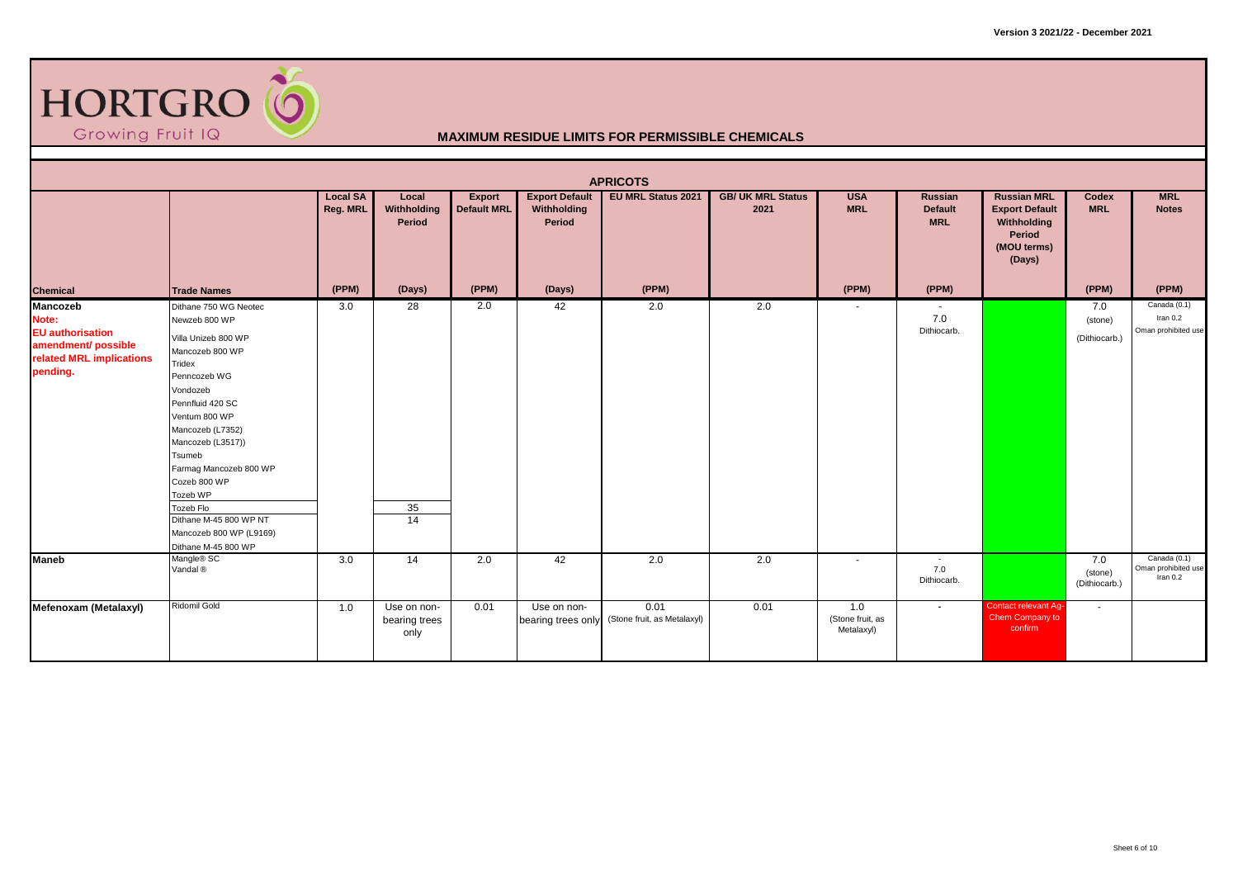

|                                                                                                             |                                                                                                                                                                                                                                                                                                                                                               |                             |                                      |                                     |                                                | <b>APRICOTS</b>                     |                                  |                                       |                                                |                                                                                               |                                 |                                                   |
|-------------------------------------------------------------------------------------------------------------|---------------------------------------------------------------------------------------------------------------------------------------------------------------------------------------------------------------------------------------------------------------------------------------------------------------------------------------------------------------|-----------------------------|--------------------------------------|-------------------------------------|------------------------------------------------|-------------------------------------|----------------------------------|---------------------------------------|------------------------------------------------|-----------------------------------------------------------------------------------------------|---------------------------------|---------------------------------------------------|
|                                                                                                             |                                                                                                                                                                                                                                                                                                                                                               | <b>Local SA</b><br>Reg. MRL | Local<br>Withholding<br>Period       | <b>Export</b><br><b>Default MRL</b> | <b>Export Default</b><br>Withholding<br>Period | <b>EU MRL Status 2021</b>           | <b>GB/ UK MRL Status</b><br>2021 | <b>USA</b><br><b>MRL</b>              | <b>Russian</b><br><b>Default</b><br><b>MRL</b> | <b>Russian MRL</b><br><b>Export Default</b><br>Withholding<br>Period<br>(MOU terms)<br>(Days) | Codex<br><b>MRL</b>             | <b>MRL</b><br><b>Notes</b>                        |
| <b>Chemical</b>                                                                                             | <b>Trade Names</b>                                                                                                                                                                                                                                                                                                                                            | (PPM)                       | (Days)                               | (PPM)                               | (Days)                                         | (PPM)                               |                                  | (PPM)                                 | (PPM)                                          |                                                                                               | (PPM)                           | (PPM)                                             |
| Mancozeb<br>Note:<br><b>EU</b> authorisation<br>amendment/ possible<br>related MRL implications<br>pending. | Dithane 750 WG Neotec<br>Newzeb 800 WP<br>Villa Unizeb 800 WP<br>Mancozeb 800 WP<br>Tridex<br>Penncozeb WG<br>Vondozeb<br>Pennfluid 420 SC<br>Ventum 800 WP<br>Mancozeb (L7352)<br>Mancozeb (L3517))<br>Tsumeb<br>Farmag Mancozeb 800 WP<br>Cozeb 800 WP<br>Tozeb WP<br>Tozeb Flo<br>Dithane M-45 800 WP NT<br>Mancozeb 800 WP (L9169)<br>Dithane M-45 800 WP | 3.0                         | 28<br>35<br>$\overline{14}$          | 2.0                                 | 42                                             | 2.0                                 | 2.0                              | $\overline{\phantom{a}}$              | $\overline{\phantom{a}}$<br>7.0<br>Dithiocarb. |                                                                                               | 7.0<br>(stone)<br>(Dithiocarb.) | Canada (0.1)<br>Iran 0.2<br>Oman prohibited use   |
| <b>Maneb</b>                                                                                                | Mangle® SC<br>Vandal <sup>®</sup>                                                                                                                                                                                                                                                                                                                             | 3.0                         | 14                                   | 2.0                                 | 42                                             | 2.0                                 | 2.0                              | $\sim$                                | $\sim$<br>7.0<br>Dithiocarb.                   |                                                                                               | 7.0<br>(stone)<br>(Dithiocarb.) | Canada (0.1)<br>Oman prohibited use<br>Iran $0.2$ |
| Mefenoxam (Metalaxyl)                                                                                       | Ridomil Gold                                                                                                                                                                                                                                                                                                                                                  | 1.0                         | Use on non-<br>bearing trees<br>only | 0.01                                | Use on non-<br>bearing trees only              | 0.01<br>(Stone fruit, as Metalaxyl) | 0.01                             | 1.0<br>(Stone fruit, as<br>Metalaxyl) | $\blacksquare$                                 | <b>Contact relevant Ag-</b><br>Chem Company to<br>confirm                                     | $\sim$                          |                                                   |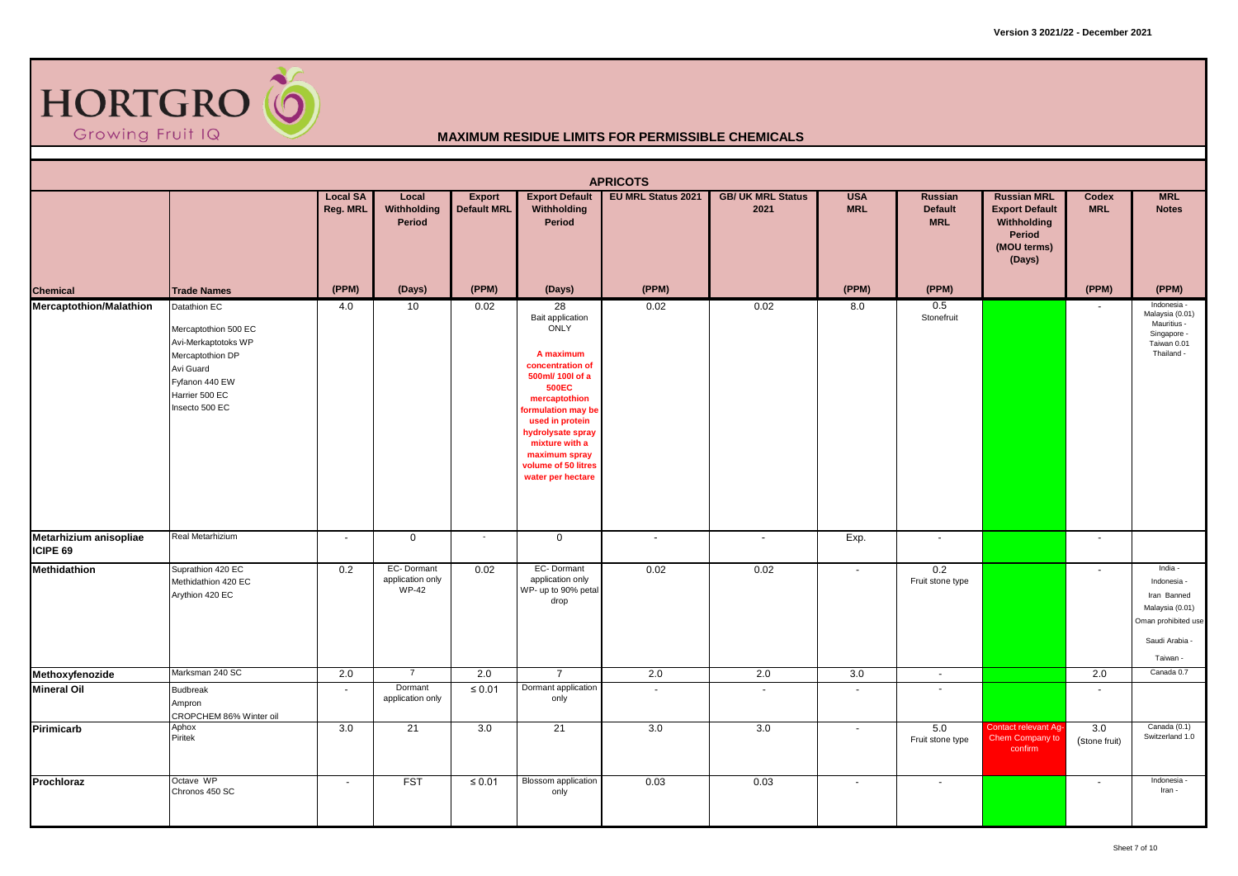

|                                    |                                                                                                                                                    |                             |                                                |                              |                                                                                                                                                                                                                                                                   | <b>APRICOTS</b>           |                                  |                          |                                                     |                                                                                               |                                |                                                                                                               |
|------------------------------------|----------------------------------------------------------------------------------------------------------------------------------------------------|-----------------------------|------------------------------------------------|------------------------------|-------------------------------------------------------------------------------------------------------------------------------------------------------------------------------------------------------------------------------------------------------------------|---------------------------|----------------------------------|--------------------------|-----------------------------------------------------|-----------------------------------------------------------------------------------------------|--------------------------------|---------------------------------------------------------------------------------------------------------------|
|                                    |                                                                                                                                                    | <b>Local SA</b><br>Reg. MRL | Local<br>Withholding<br>Period                 | Export<br><b>Default MRL</b> | <b>Export Default</b><br>Withholding<br>Period                                                                                                                                                                                                                    | <b>EU MRL Status 2021</b> | <b>GB/ UK MRL Status</b><br>2021 | <b>USA</b><br><b>MRL</b> | Russian<br><b>Default</b><br><b>MRL</b>             | <b>Russian MRL</b><br><b>Export Default</b><br>Withholding<br>Period<br>(MOU terms)<br>(Days) | Codex<br><b>MRL</b>            | <b>MRL</b><br><b>Notes</b>                                                                                    |
| <b>Chemical</b>                    | <b>Trade Names</b>                                                                                                                                 | (PPM)                       | (Days)                                         | (PPM)                        | (Days)                                                                                                                                                                                                                                                            | (PPM)                     |                                  | (PPM)                    | (PPM)                                               |                                                                                               | (PPM)                          | (PPM)                                                                                                         |
| <b>Mercaptothion/Malathion</b>     | Datathion EC<br>Mercaptothion 500 EC<br>Avi-Merkaptotoks WP<br>Mercaptothion DP<br>Avi Guard<br>Fyfanon 440 EW<br>Harrier 500 EC<br>Insecto 500 EC | 4.0                         | 10                                             | 0.02                         | 28<br>Bait application<br>ONLY<br>A maximum<br>concentration of<br>500ml/ 100l of a<br><b>500EC</b><br>mercaptothion<br>formulation may be<br>used in protein<br>hydrolysate spray<br>mixture with a<br>maximum spray<br>volume of 50 litres<br>water per hectare | 0.02                      | 0.02                             | 8.0                      | 0.5<br>Stonefruit                                   |                                                                                               |                                | Indonesia -<br>Malaysia (0.01)<br>Mauritius -<br>Singapore -<br>Taiwan 0.01<br>Thailand -                     |
| Metarhizium anisopliae<br>ICIPE 69 | Real Metarhizium                                                                                                                                   | $\sim$                      | $\mathbf 0$                                    | $\overline{\phantom{a}}$     | $\mathbf 0$                                                                                                                                                                                                                                                       |                           | $\blacksquare$                   | Exp.                     | $\blacksquare$                                      |                                                                                               | $\overline{\phantom{a}}$       |                                                                                                               |
| <b>Methidathion</b>                | Suprathion 420 EC<br>Methidathion 420 EC<br>Arythion 420 EC                                                                                        | 0.2                         | EC-Dormant<br>application only<br><b>WP-42</b> | 0.02                         | EC-Dormant<br>application only<br>WP- up to 90% petal<br>drop                                                                                                                                                                                                     | 0.02                      | 0.02                             | $\omega$                 | 0.2<br>Fruit stone type                             |                                                                                               |                                | India -<br>Indonesia -<br>Iran Banned<br>Malaysia (0.01)<br>Oman prohibited use<br>Saudi Arabia -<br>Taiwan - |
| Methoxyfenozide                    | Marksman 240 SC                                                                                                                                    | 2.0                         | $\overline{7}$                                 | 2.0                          | $\overline{7}$                                                                                                                                                                                                                                                    | 2.0                       | 2.0                              | 3.0                      | $\sim$                                              |                                                                                               | 2.0                            | Canada 0.7                                                                                                    |
| <b>Mineral Oil</b><br>Pirimicarb   | <b>Budbreak</b><br>Ampron<br>CROPCHEM 86% Winter oil<br>Aphox<br>Piritek                                                                           | $\sim$<br>3.0               | Dormant<br>application only<br>21              | $\leq 0.01$<br>3.0           | Dormant application<br>only<br>21                                                                                                                                                                                                                                 | $\sim$<br>3.0             | $\sim$<br>3.0                    | $\sim$<br>$\blacksquare$ | $\overline{\phantom{a}}$<br>5.0<br>Fruit stone type | Contact relevant Ag-<br>Chem Company to<br>confirm                                            | $\sim$<br>3.0<br>(Stone fruit) | Canada (0.1)<br>Switzerland 1.0                                                                               |
| Prochloraz                         | Octave WP<br>Chronos 450 SC                                                                                                                        | $\sim$                      | <b>FST</b>                                     | $\leq 0.01$                  | <b>Blossom</b> application<br>only                                                                                                                                                                                                                                | 0.03                      | 0.03                             | $\sim$                   | $\sim$                                              |                                                                                               | $\overline{\phantom{a}}$       | Indonesia -<br>Iran -                                                                                         |
|                                    |                                                                                                                                                    |                             |                                                |                              |                                                                                                                                                                                                                                                                   |                           |                                  |                          |                                                     |                                                                                               |                                |                                                                                                               |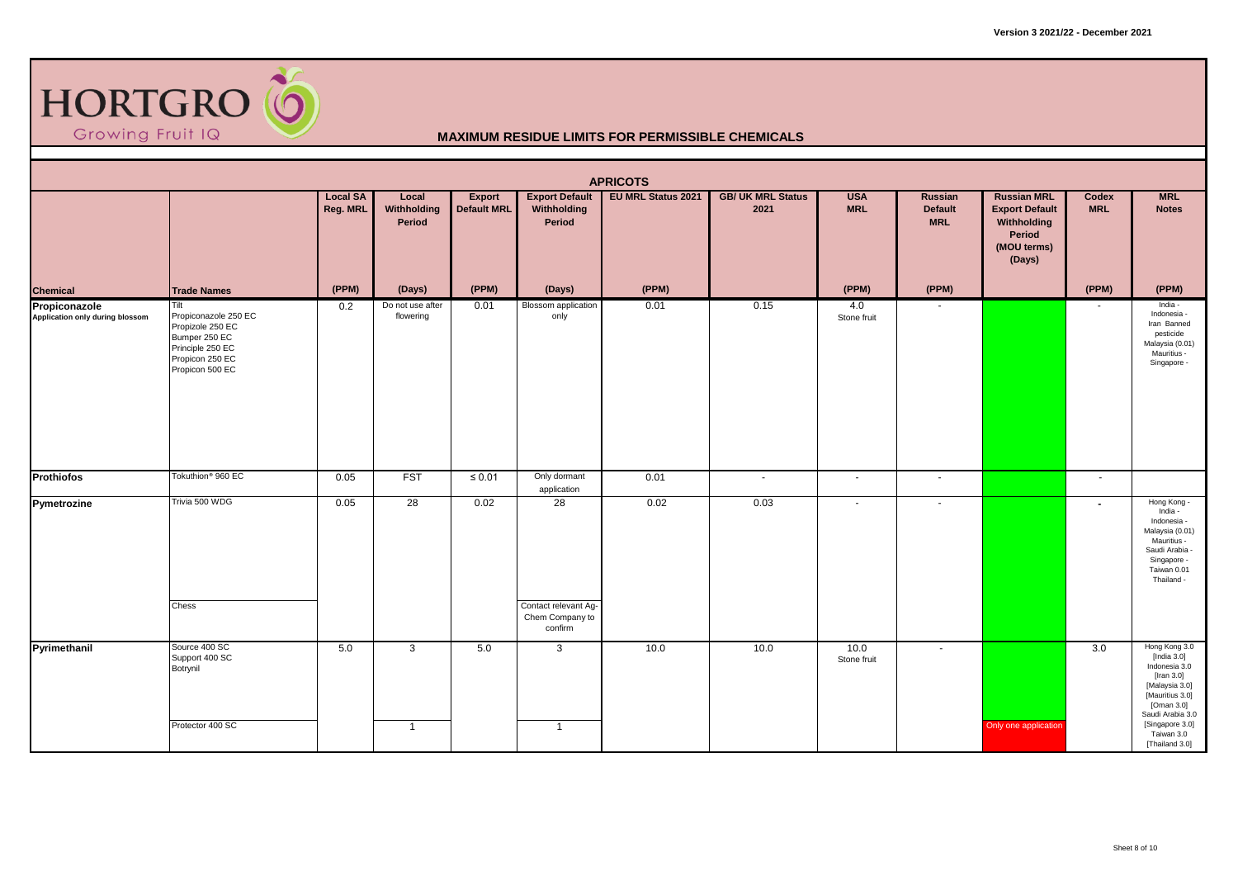

|                                                  |                                                                                                                             |                             |                                |                              |                                                                       | <b>APRICOTS</b>           |                                  |                          |                                  |                                                                                               |                          |                                                                                                                                                                                                |
|--------------------------------------------------|-----------------------------------------------------------------------------------------------------------------------------|-----------------------------|--------------------------------|------------------------------|-----------------------------------------------------------------------|---------------------------|----------------------------------|--------------------------|----------------------------------|-----------------------------------------------------------------------------------------------|--------------------------|------------------------------------------------------------------------------------------------------------------------------------------------------------------------------------------------|
|                                                  |                                                                                                                             | <b>Local SA</b><br>Reg. MRL | Local<br>Withholding<br>Period | <b>Export</b><br>Default MRL | <b>Export Default</b><br>Withholding<br>Period                        | <b>EU MRL Status 2021</b> | <b>GB/ UK MRL Status</b><br>2021 | <b>USA</b><br><b>MRL</b> | Russian<br>Default<br><b>MRL</b> | <b>Russian MRL</b><br><b>Export Default</b><br>Withholding<br>Period<br>(MOU terms)<br>(Days) | Codex<br><b>MRL</b>      | <b>MRL</b><br><b>Notes</b>                                                                                                                                                                     |
| <b>Chemical</b>                                  | <b>Trade Names</b>                                                                                                          | (PPM)                       | (Days)                         | (PPM)                        | (Days)                                                                | (PPM)                     |                                  | (PPM)                    | (PPM)                            |                                                                                               | (PPM)                    | (PPM)                                                                                                                                                                                          |
| Propiconazole<br>Application only during blossom | Tilt<br>Propiconazole 250 EC<br>Propizole 250 EC<br>Bumper 250 EC<br>Principle 250 EC<br>Propicon 250 EC<br>Propicon 500 EC | 0.2                         | Do not use after<br>flowering  | 0.01                         | <b>Blossom</b> application<br>only                                    | 0.01                      | 0.15                             | 4.0<br>Stone fruit       | $\overline{\phantom{a}}$         |                                                                                               |                          | India -<br>Indonesia -<br>Iran Banned<br>pesticide<br>Malaysia (0.01)<br>Mauritius -<br>Singapore -                                                                                            |
| <b>Prothiofos</b>                                | Tokuthion <sup>®</sup> 960 EC                                                                                               | 0.05                        | FST                            | $\leq 0.01$                  | Only dormant<br>application                                           | 0.01                      | $\sim$                           | $\sim$                   | $\sim$                           |                                                                                               | $\sim$                   |                                                                                                                                                                                                |
| Pymetrozine                                      | Trivia 500 WDG<br>Chess                                                                                                     | 0.05                        | 28                             | 0.02                         | $\overline{28}$<br>Contact relevant Ag-<br>Chem Company to<br>confirm | 0.02                      | 0.03                             | $\sim$                   | $\blacksquare$                   |                                                                                               | $\overline{\phantom{a}}$ | Hong Kong -<br>India -<br>Indonesia -<br>Malaysia (0.01)<br>Mauritius -<br>Saudi Arabia -<br>Singapore -<br>Taiwan 0.01<br>Thailand -                                                          |
| Pyrimethanil                                     | Source 400 SC<br>Support 400 SC<br>Botrynil<br>Protector 400 SC                                                             | 5.0                         | $\mathbf{3}$<br>$\overline{1}$ | 5.0                          | 3<br>$\overline{1}$                                                   | 10.0                      | 10.0                             | 10.0<br>Stone fruit      | $\sim$                           | Only one application                                                                          | 3.0                      | Hong Kong 3.0<br>[India $3.0$ ]<br>Indonesia 3.0<br>[Iran $3.0$ ]<br>[Malaysia 3.0]<br>[Mauritius 3.0]<br>[Oman $3.0$ ]<br>Saudi Arabia 3.0<br>[Singapore 3.0]<br>Taiwan 3.0<br>[Thailand 3.0] |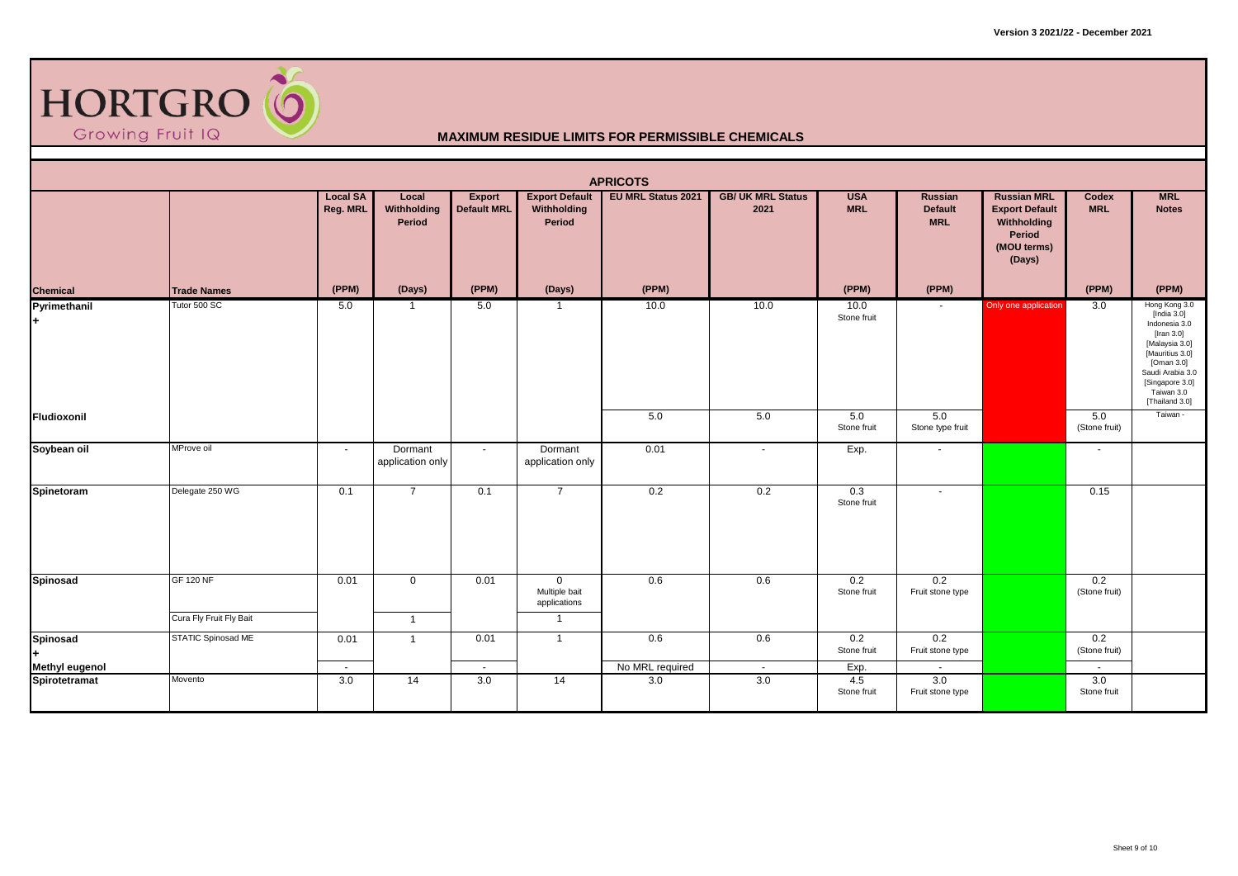

|                                        |                                             |                             |                                |                                     |                                                                   | <b>APRICOTS</b>           |                                  |                          |                                         |                                                                                               |                      |                                                                                                                                                                                          |
|----------------------------------------|---------------------------------------------|-----------------------------|--------------------------------|-------------------------------------|-------------------------------------------------------------------|---------------------------|----------------------------------|--------------------------|-----------------------------------------|-----------------------------------------------------------------------------------------------|----------------------|------------------------------------------------------------------------------------------------------------------------------------------------------------------------------------------|
|                                        |                                             | <b>Local SA</b><br>Reg. MRL | Local<br>Withholding<br>Period | <b>Export</b><br><b>Default MRL</b> | <b>Export Default</b><br>Withholding<br>Period                    | <b>EU MRL Status 2021</b> | <b>GB/ UK MRL Status</b><br>2021 | <b>USA</b><br><b>MRL</b> | <b>Russian</b><br>Default<br><b>MRL</b> | <b>Russian MRL</b><br><b>Export Default</b><br>Withholding<br>Period<br>(MOU terms)<br>(Days) | Codex<br><b>MRL</b>  | <b>MRL</b><br><b>Notes</b>                                                                                                                                                               |
| Chemical                               | <b>Trade Names</b>                          | (PPM)                       | (Days)                         | (PPM)                               | (Days)                                                            | (PPM)                     |                                  | (PPM)                    | (PPM)                                   |                                                                                               | (PPM)                | (PPM)                                                                                                                                                                                    |
| Pyrimethanil<br>l+                     | Tutor 500 SC                                | 5.0                         | -1                             | 5.0                                 | $\overline{1}$                                                    | 10.0                      | 10.0                             | 10.0<br>Stone fruit      |                                         | Only one application                                                                          | 3.0                  | Hong Kong 3.0<br>[India 3.0]<br>Indonesia 3.0<br>[Iran $3.0$ ]<br>[Malaysia 3.0]<br>[Mauritius 3.0]<br>[Oman 3.0]<br>Saudi Arabia 3.0<br>[Singapore 3.0]<br>Taiwan 3.0<br>[Thailand 3.0] |
| Fludioxonil                            |                                             |                             |                                |                                     |                                                                   | 5.0                       | 5.0                              | 5.0<br>Stone fruit       | 5.0<br>Stone type fruit                 |                                                                                               | 5.0<br>(Stone fruit) | Taiwan -                                                                                                                                                                                 |
| Soybean oil                            | MProve oil                                  | $\sim$                      | Dormant<br>application only    | $\sim$                              | Dormant<br>application only                                       | 0.01                      | $\sim$                           | Exp.                     | $\blacksquare$                          |                                                                                               | $\sim$               |                                                                                                                                                                                          |
| Spinetoram                             | Delegate 250 WG                             | 0.1                         | $\overline{7}$                 | 0.1                                 | $\overline{7}$                                                    | 0.2                       | 0.2                              | 0.3<br>Stone fruit       | $\blacksquare$                          |                                                                                               | 0.15                 |                                                                                                                                                                                          |
| Spinosad                               | <b>GF 120 NF</b><br>Cura Fly Fruit Fly Bait | 0.01                        | $\mathbf 0$<br>$\overline{1}$  | 0.01                                | $\overline{0}$<br>Multiple bait<br>applications<br>$\overline{1}$ | 0.6                       | 0.6                              | 0.2<br>Stone fruit       | 0.2<br>Fruit stone type                 |                                                                                               | 0.2<br>(Stone fruit) |                                                                                                                                                                                          |
| Spinosad                               | STATIC Spinosad ME                          | 0.01                        | $\overline{1}$                 | 0.01                                | $\overline{1}$                                                    | 0.6                       | 0.6                              | 0.2<br>Stone fruit       | 0.2<br>Fruit stone type                 |                                                                                               | 0.2<br>(Stone fruit) |                                                                                                                                                                                          |
| <b>Methyl eugenol</b><br>Spirotetramat | Movento                                     | $\sim$<br>3.0               | 14                             | $\sim$<br>3.0                       | 14                                                                | No MRL required<br>3.0    | $\sim$<br>3.0                    | Exp.<br>4.5              | $\sim$<br>3.0                           |                                                                                               | $\sim$<br>3.0        |                                                                                                                                                                                          |
|                                        |                                             |                             |                                |                                     |                                                                   |                           |                                  | Stone fruit              | Fruit stone type                        |                                                                                               | Stone fruit          |                                                                                                                                                                                          |